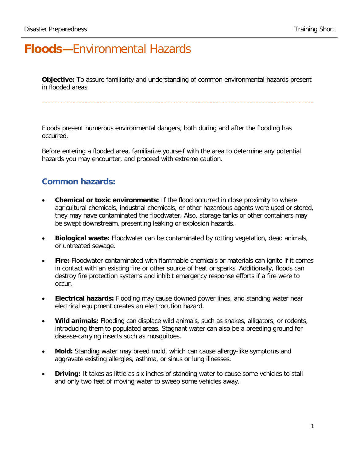## **Floods—**Environmental Hazards

**Objective:** To assure familiarity and understanding of common environmental hazards present in flooded areas.

Floods present numerous environmental dangers, both during and after the flooding has occurred.

Before entering a flooded area, familiarize yourself with the area to determine any potential hazards you may encounter, and proceed with extreme caution.

## **Common hazards:**

- **Chemical or toxic environments:** If the flood occurred in close proximity to where agricultural chemicals, industrial chemicals, or other hazardous agents were used or stored, they may have contaminated the floodwater. Also, storage tanks or other containers may be swept downstream, presenting leaking or explosion hazards.
- **Biological waste:** Floodwater can be contaminated by rotting vegetation, dead animals, or untreated sewage.
- **Fire:** Floodwater contaminated with flammable chemicals or materials can ignite if it comes in contact with an existing fire or other source of heat or sparks. Additionally, floods can destroy fire protection systems and inhibit emergency response efforts if a fire were to occur.
- **Electrical hazards:** Flooding may cause downed power lines, and standing water near electrical equipment creates an electrocution hazard.
- **Wild animals:** Flooding can displace wild animals, such as snakes, alligators, or rodents, introducing them to populated areas. Stagnant water can also be a breeding ground for disease-carrying insects such as mosquitoes.
- **Mold:** Standing water may breed mold, which can cause allergy-like symptoms and aggravate existing allergies, asthma, or sinus or lung illnesses.
- **Driving:** It takes as little as six inches of standing water to cause some vehicles to stall and only two feet of moving water to sweep some vehicles away.